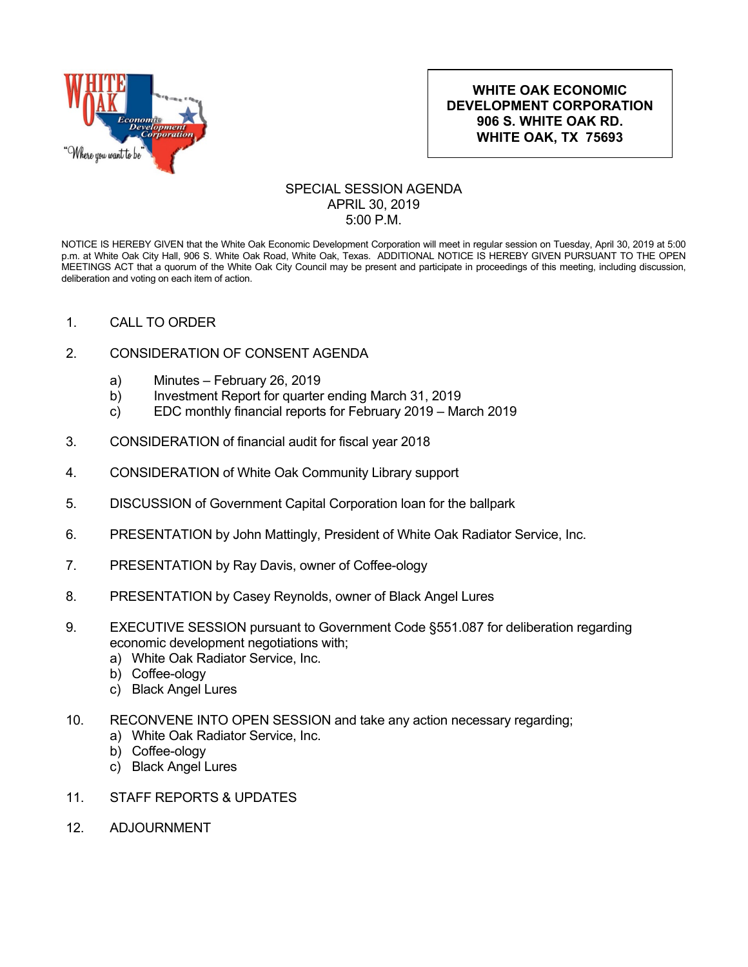

## **WHITE OAK ECONOMIC DEVELOPMENT CORPORATION 906 S. WHITE OAK RD. WHITE OAK, TX 75693**

## SPECIAL SESSION AGENDA APRIL 30, 2019 5:00 P.M.

NOTICE IS HEREBY GIVEN that the White Oak Economic Development Corporation will meet in regular session on Tuesday, April 30, 2019 at 5:00 p.m. at White Oak City Hall, 906 S. White Oak Road, White Oak, Texas. ADDITIONAL NOTICE IS HEREBY GIVEN PURSUANT TO THE OPEN MEETINGS ACT that a quorum of the White Oak City Council may be present and participate in proceedings of this meeting, including discussion, deliberation and voting on each item of action.

- 1. CALL TO ORDER
- 2. CONSIDERATION OF CONSENT AGENDA
	- a) Minutes February 26, 2019
	- b) Investment Report for quarter ending March 31, 2019
	- c) EDC monthly financial reports for February 2019 March 2019
- 3. CONSIDERATION of financial audit for fiscal year 2018
- 4. CONSIDERATION of White Oak Community Library support
- 5. DISCUSSION of Government Capital Corporation loan for the ballpark
- 6. PRESENTATION by John Mattingly, President of White Oak Radiator Service, Inc.
- 7. PRESENTATION by Ray Davis, owner of Coffee-ology
- 8. PRESENTATION by Casey Reynolds, owner of Black Angel Lures
- 9. EXECUTIVE SESSION pursuant to Government Code §551.087 for deliberation regarding economic development negotiations with;
	- a) White Oak Radiator Service, Inc.
	- b) Coffee-ology
	- c) Black Angel Lures
- 10. RECONVENE INTO OPEN SESSION and take any action necessary regarding;
	- a) White Oak Radiator Service, Inc.
	- b) Coffee-ology
	- c) Black Angel Lures
- 11. STAFF REPORTS & UPDATES
- 12. ADJOURNMENT